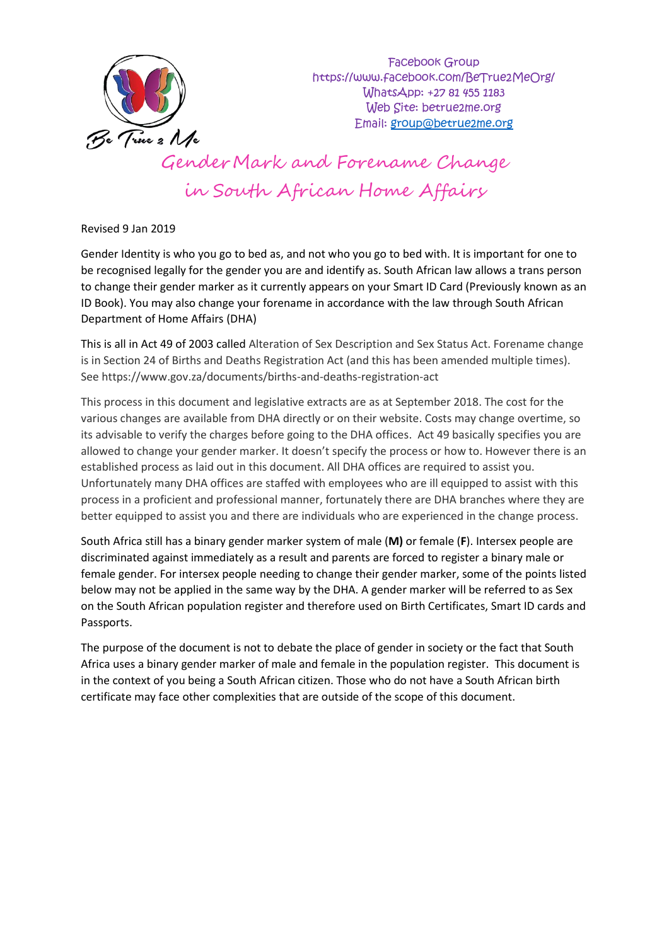

Revised 9 Jan 2019

Gender Identity is who you go to bed as, and not who you go to bed with. It is important for one to be recognised legally for the gender you are and identify as. South African law allows a trans person to change their gender marker as it currently appears on your Smart ID Card (Previously known as an ID Book). You may also change your forename in accordance with the law through South African Department of Home Affairs (DHA)

This is all in Act 49 of 2003 called Alteration of Sex Description and Sex Status Act. Forename change is in Section 24 of Births and Deaths Registration Act (and this has been amended multiple times). See https://www.gov.za/documents/births-and-deaths-registration-act

This process in this document and legislative extracts are as at September 2018. The cost for the various changes are available from DHA directly or on their website. Costs may change overtime, so its advisable to verify the charges before going to the DHA offices. Act 49 basically specifies you are allowed to change your gender marker. It doesn't specify the process or how to. However there is an established process as laid out in this document. All DHA offices are required to assist you. Unfortunately many DHA offices are staffed with employees who are ill equipped to assist with this process in a proficient and professional manner, fortunately there are DHA branches where they are better equipped to assist you and there are individuals who are experienced in the change process.

South Africa still has a binary gender marker system of male (**M)** or female (**F**). Intersex people are discriminated against immediately as a result and parents are forced to register a binary male or female gender. For intersex people needing to change their gender marker, some of the points listed below may not be applied in the same way by the DHA. A gender marker will be referred to as Sex on the South African population register and therefore used on Birth Certificates, Smart ID cards and Passports.

The purpose of the document is not to debate the place of gender in society or the fact that South Africa uses a binary gender marker of male and female in the population register. This document is in the context of you being a South African citizen. Those who do not have a South African birth certificate may face other complexities that are outside of the scope of this document.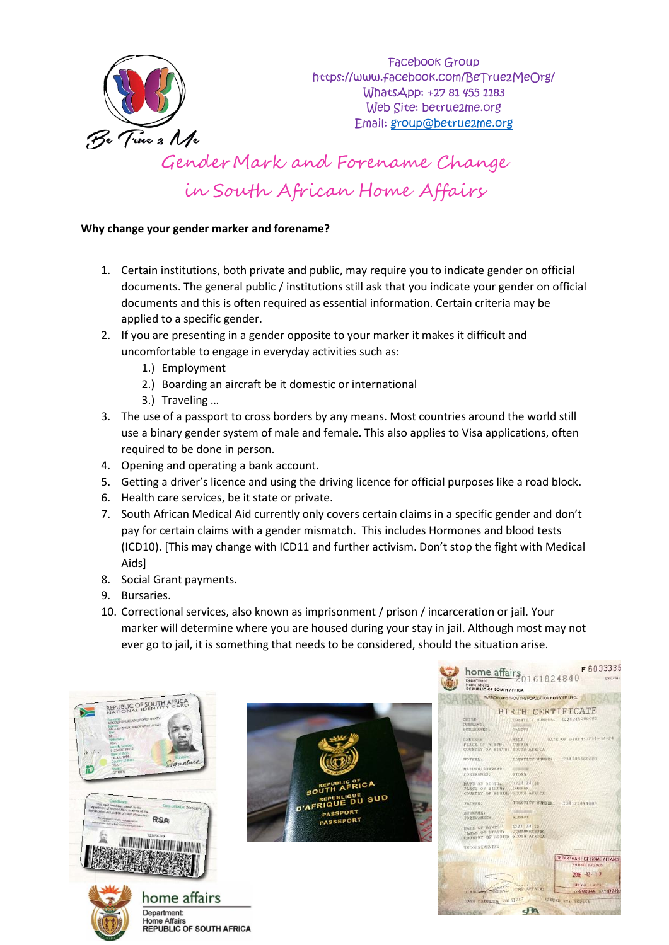

### **Why change your gender marker and forename?**

- 1. Certain institutions, both private and public, may require you to indicate gender on official documents. The general public / institutions still ask that you indicate your gender on official documents and this is often required as essential information. Certain criteria may be applied to a specific gender.
- 2. If you are presenting in a gender opposite to your marker it makes it difficult and uncomfortable to engage in everyday activities such as:
	- 1.) Employment
	- 2.) Boarding an aircraft be it domestic or international
	- 3.) Traveling …
- 3. The use of a passport to cross borders by any means. Most countries around the world still use a binary gender system of male and female. This also applies to Visa applications, often required to be done in person.
- 4. Opening and operating a bank account.
- 5. Getting a driver's licence and using the driving licence for official purposes like a road block.
- 6. Health care services, be it state or private.
- 7. South African Medical Aid currently only covers certain claims in a specific gender and don't pay for certain claims with a gender mismatch. This includes Hormones and blood tests (ICD10). [This may change with ICD11 and further activism. Don't stop the fight with Medical Aids]
- 8. Social Grant payments.
- 9. Bursaries.
- 10. Correctional services, also known as imprisonment / prison / incarceration or jail. Your marker will determine where you are housed during your stay in jail. Although most may not ever go to jail, it is something that needs to be considered, should the situation arise.





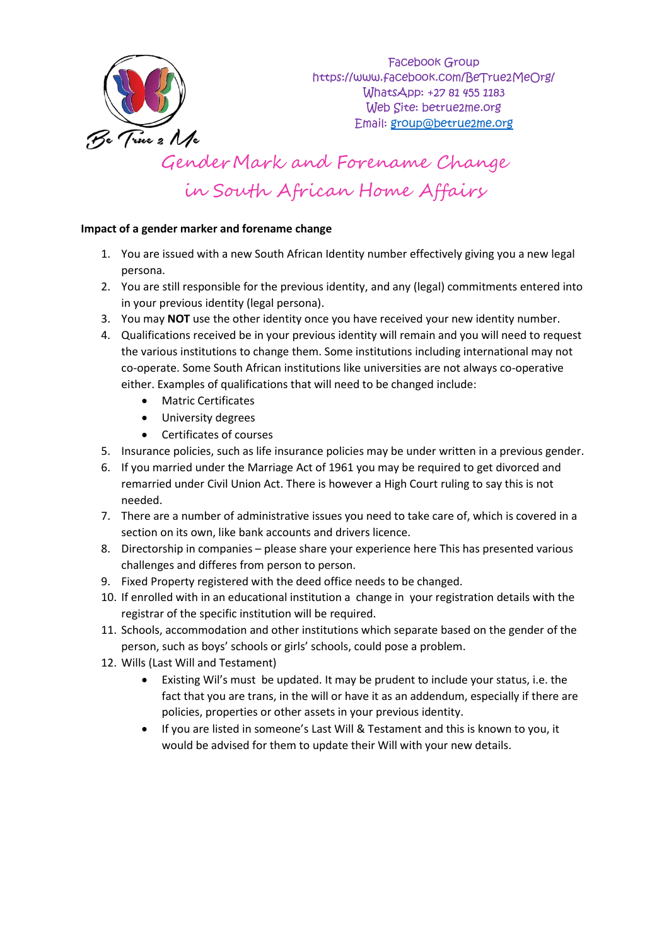

### **Impact of a gender marker and forename change**

- 1. You are issued with a new South African Identity number effectively giving you a new legal persona.
- 2. You are still responsible for the previous identity, and any (legal) commitments entered into in your previous identity (legal persona).
- 3. You may **NOT** use the other identity once you have received your new identity number.
- 4. Qualifications received be in your previous identity will remain and you will need to request the various institutions to change them. Some institutions including international may not co-operate. Some South African institutions like universities are not always co-operative either. Examples of qualifications that will need to be changed include:
	- Matric Certificates
	- University degrees
	- Certificates of courses
- 5. Insurance policies, such as life insurance policies may be under written in a previous gender.
- 6. If you married under the Marriage Act of 1961 you may be required to get divorced and remarried under Civil Union Act. There is however a High Court ruling to say this is not needed.
- 7. There are a number of administrative issues you need to take care of, which is covered in a section on its own, like bank accounts and drivers licence.
- 8. Directorship in companies please share your experience here This has presented various challenges and differes from person to person.
- 9. Fixed Property registered with the deed office needs to be changed.
- 10. If enrolled with in an educational institution a change in your registration details with the registrar of the specific institution will be required.
- 11. Schools, accommodation and other institutions which separate based on the gender of the person, such as boys' schools or girls' schools, could pose a problem.
- 12. Wills (Last Will and Testament)
	- Existing Wil's must be updated. It may be prudent to include your status, i.e. the fact that you are trans, in the will or have it as an addendum, especially if there are policies, properties or other assets in your previous identity.
	- If you are listed in someone's Last Will & Testament and this is known to you, it would be advised for them to update their Will with your new details.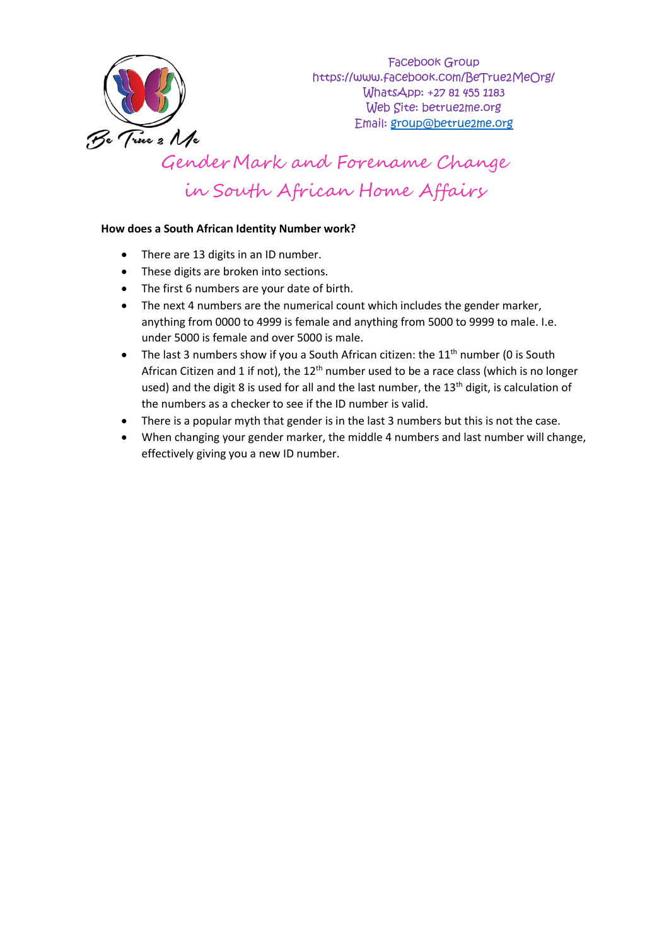

### **How does a South African Identity Number work?**

- There are 13 digits in an ID number.
- These digits are broken into sections.
- The first 6 numbers are your date of birth.
- The next 4 numbers are the numerical count which includes the gender marker, anything from 0000 to 4999 is female and anything from 5000 to 9999 to male. I.e. under 5000 is female and over 5000 is male.
- The last 3 numbers show if you a South African citizen: the  $11<sup>th</sup>$  number (0 is South African Citizen and 1 if not), the  $12<sup>th</sup>$  number used to be a race class (which is no longer used) and the digit 8 is used for all and the last number, the  $13<sup>th</sup>$  digit, is calculation of the numbers as a checker to see if the ID number is valid.
- There is a popular myth that gender is in the last 3 numbers but this is not the case.
- When changing your gender marker, the middle 4 numbers and last number will change, effectively giving you a new ID number.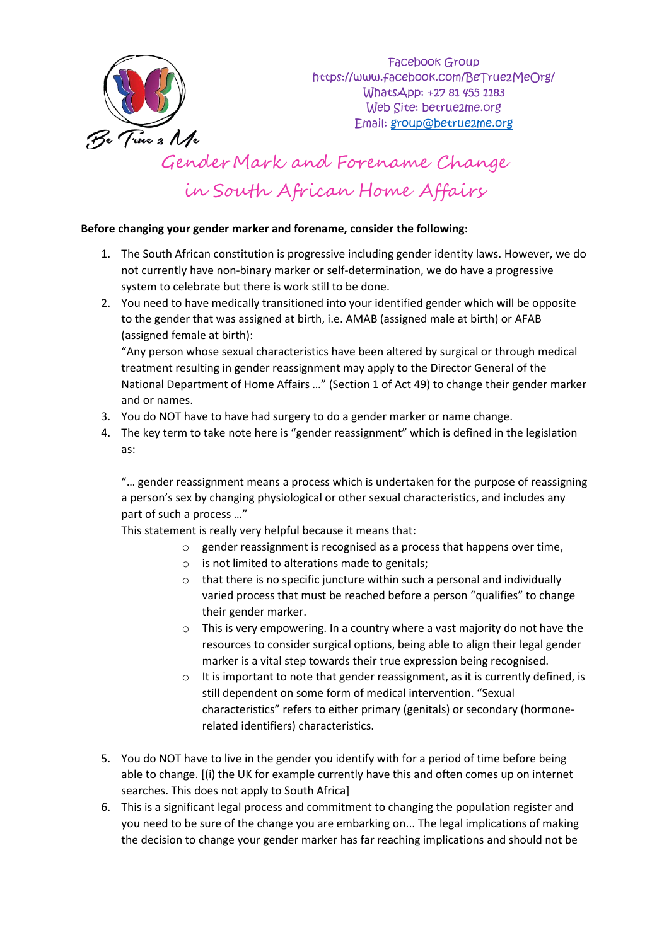

#### **Before changing your gender marker and forename, consider the following:**

- 1. The South African constitution is progressive including gender identity laws. However, we do not currently have non-binary marker or self-determination, we do have a progressive system to celebrate but there is work still to be done.
- 2. You need to have medically transitioned into your identified gender which will be opposite to the gender that was assigned at birth, i.e. AMAB (assigned male at birth) or AFAB (assigned female at birth):

"Any person whose sexual characteristics have been altered by surgical or through medical treatment resulting in gender reassignment may apply to the Director General of the National Department of Home Affairs …" (Section 1 of Act 49) to change their gender marker and or names.

- 3. You do NOT have to have had surgery to do a gender marker or name change.
- 4. The key term to take note here is "gender reassignment" which is defined in the legislation as:

"… gender reassignment means a process which is undertaken for the purpose of reassigning a person's sex by changing physiological or other sexual characteristics, and includes any part of such a process …"

This statement is really very helpful because it means that:

- $\circ$  gender reassignment is recognised as a process that happens over time,
- $\circ$  is not limited to alterations made to genitals;
- o that there is no specific juncture within such a personal and individually varied process that must be reached before a person "qualifies" to change their gender marker.
- o This is very empowering. In a country where a vast majority do not have the resources to consider surgical options, being able to align their legal gender marker is a vital step towards their true expression being recognised.
- $\circ$  It is important to note that gender reassignment, as it is currently defined, is still dependent on some form of medical intervention. "Sexual characteristics" refers to either primary (genitals) or secondary (hormonerelated identifiers) characteristics.
- 5. You do NOT have to live in the gender you identify with for a period of time before being able to change. [(i) the UK for example currently have this and often comes up on internet searches. This does not apply to South Africa]
- 6. This is a significant legal process and commitment to changing the population register and you need to be sure of the change you are embarking on... The legal implications of making the decision to change your gender marker has far reaching implications and should not be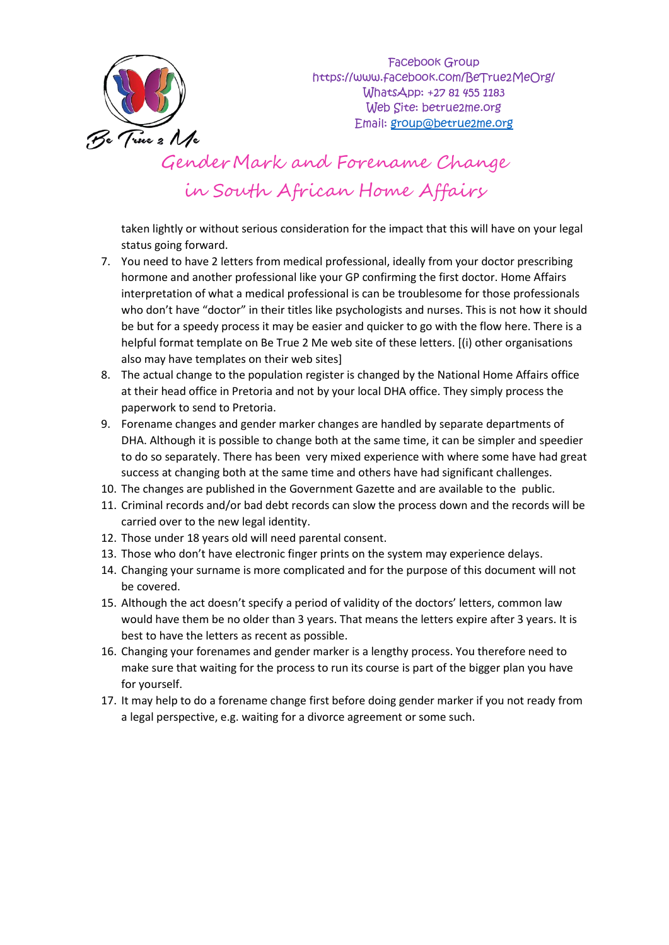

taken lightly or without serious consideration for the impact that this will have on your legal status going forward.

- 7. You need to have 2 letters from medical professional, ideally from your doctor prescribing hormone and another professional like your GP confirming the first doctor. Home Affairs interpretation of what a medical professional is can be troublesome for those professionals who don't have "doctor" in their titles like psychologists and nurses. This is not how it should be but for a speedy process it may be easier and quicker to go with the flow here. There is a helpful format template on Be True 2 Me web site of these letters. [(i) other organisations also may have templates on their web sites]
- 8. The actual change to the population register is changed by the National Home Affairs office at their head office in Pretoria and not by your local DHA office. They simply process the paperwork to send to Pretoria.
- 9. Forename changes and gender marker changes are handled by separate departments of DHA. Although it is possible to change both at the same time, it can be simpler and speedier to do so separately. There has been very mixed experience with where some have had great success at changing both at the same time and others have had significant challenges.
- 10. The changes are published in the Government Gazette and are available to the public.
- 11. Criminal records and/or bad debt records can slow the process down and the records will be carried over to the new legal identity.
- 12. Those under 18 years old will need parental consent.
- 13. Those who don't have electronic finger prints on the system may experience delays.
- 14. Changing your surname is more complicated and for the purpose of this document will not be covered.
- 15. Although the act doesn't specify a period of validity of the doctors' letters, common law would have them be no older than 3 years. That means the letters expire after 3 years. It is best to have the letters as recent as possible.
- 16. Changing your forenames and gender marker is a lengthy process. You therefore need to make sure that waiting for the process to run its course is part of the bigger plan you have for yourself.
- 17. It may help to do a forename change first before doing gender marker if you not ready from a legal perspective, e.g. waiting for a divorce agreement or some such.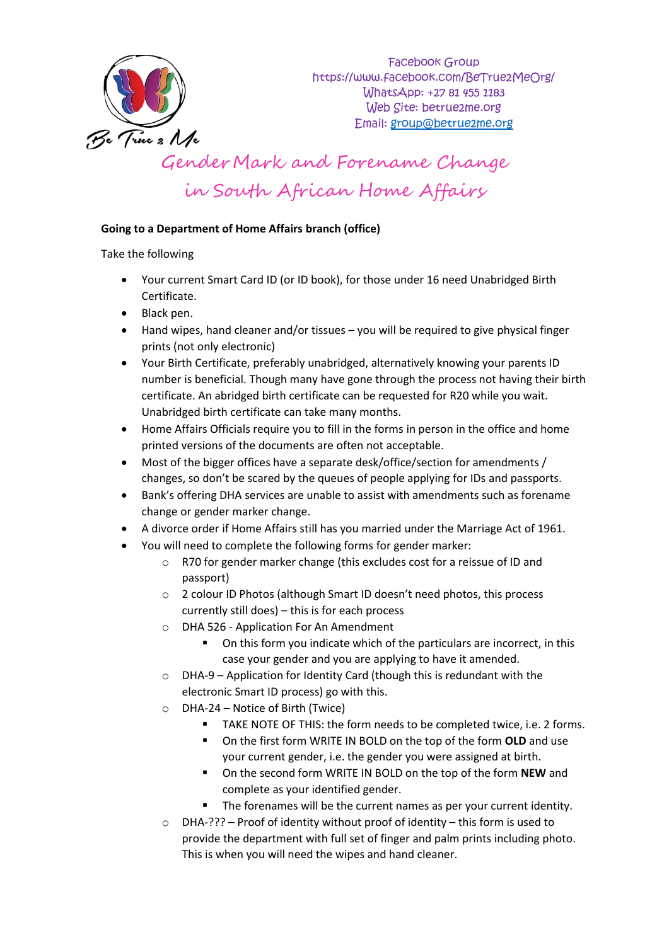

### **Going to a Department of Home Affairs branch (office)**

### Take the following

- Your current Smart Card ID (or ID book), for those under 16 need Unabridged Birth Certificate.
- Black pen.
- Hand wipes, hand cleaner and/or tissues you will be required to give physical finger prints (not only electronic)
- Your Birth Certificate, preferably unabridged, alternatively knowing your parents ID number is beneficial. Though many have gone through the process not having their birth certificate. An abridged birth certificate can be requested for R20 while you wait. Unabridged birth certificate can take many months.
- Home Affairs Officials require you to fill in the forms in person in the office and home printed versions of the documents are often not acceptable.
- Most of the bigger offices have a separate desk/office/section for amendments / changes, so don't be scared by the queues of people applying for IDs and passports.
- Bank's offering DHA services are unable to assist with amendments such as forename change or gender marker change.
- A divorce order if Home Affairs still has you married under the Marriage Act of 1961.
	- You will need to complete the following forms for gender marker:
		- o R70 for gender marker change (this excludes cost for a reissue of ID and passport)
		- o 2 colour ID Photos (although Smart ID doesn't need photos, this process currently still does) – this is for each process
		- o DHA 526 Application For An Amendment
			- On this form you indicate which of the particulars are incorrect, in this case your gender and you are applying to have it amended.
		- o DHA-9 Application for Identity Card (though this is redundant with the electronic Smart ID process) go with this.
		- o DHA-24 Notice of Birth (Twice)
			- TAKE NOTE OF THIS: the form needs to be completed twice, i.e. 2 forms.
			- On the first form WRITE IN BOLD on the top of the form **OLD** and use your current gender, i.e. the gender you were assigned at birth.
			- On the second form WRITE IN BOLD on the top of the form **NEW** and complete as your identified gender.
				- The forenames will be the current names as per your current identity.
		- $\circ$  DHA-??? Proof of identity without proof of identity this form is used to provide the department with full set of finger and palm prints including photo. This is when you will need the wipes and hand cleaner.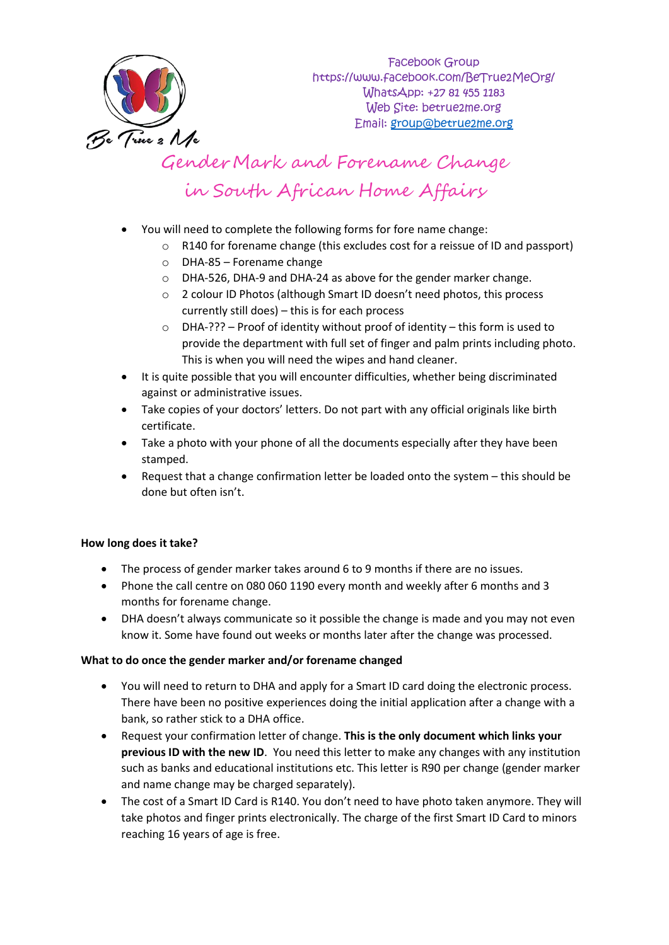

- You will need to complete the following forms for fore name change:
	- o R140 for forename change (this excludes cost for a reissue of ID and passport)
	- o DHA-85 Forename change
	- o DHA-526, DHA-9 and DHA-24 as above for the gender marker change.
	- o 2 colour ID Photos (although Smart ID doesn't need photos, this process currently still does) – this is for each process
	- $\circ$  DHA-??? Proof of identity without proof of identity this form is used to provide the department with full set of finger and palm prints including photo. This is when you will need the wipes and hand cleaner.
- It is quite possible that you will encounter difficulties, whether being discriminated against or administrative issues.
- Take copies of your doctors' letters. Do not part with any official originals like birth certificate.
- Take a photo with your phone of all the documents especially after they have been stamped.
- Request that a change confirmation letter be loaded onto the system this should be done but often isn't.

### **How long does it take?**

- The process of gender marker takes around 6 to 9 months if there are no issues.
- Phone the call centre on 080 060 1190 every month and weekly after 6 months and 3 months for forename change.
- DHA doesn't always communicate so it possible the change is made and you may not even know it. Some have found out weeks or months later after the change was processed.

### **What to do once the gender marker and/or forename changed**

- You will need to return to DHA and apply for a Smart ID card doing the electronic process. There have been no positive experiences doing the initial application after a change with a bank, so rather stick to a DHA office.
- Request your confirmation letter of change. **This is the only document which links your previous ID with the new ID**. You need this letter to make any changes with any institution such as banks and educational institutions etc. This letter is R90 per change (gender marker and name change may be charged separately).
- The cost of a Smart ID Card is R140. You don't need to have photo taken anymore. They will take photos and finger prints electronically. The charge of the first Smart ID Card to minors reaching 16 years of age is free.